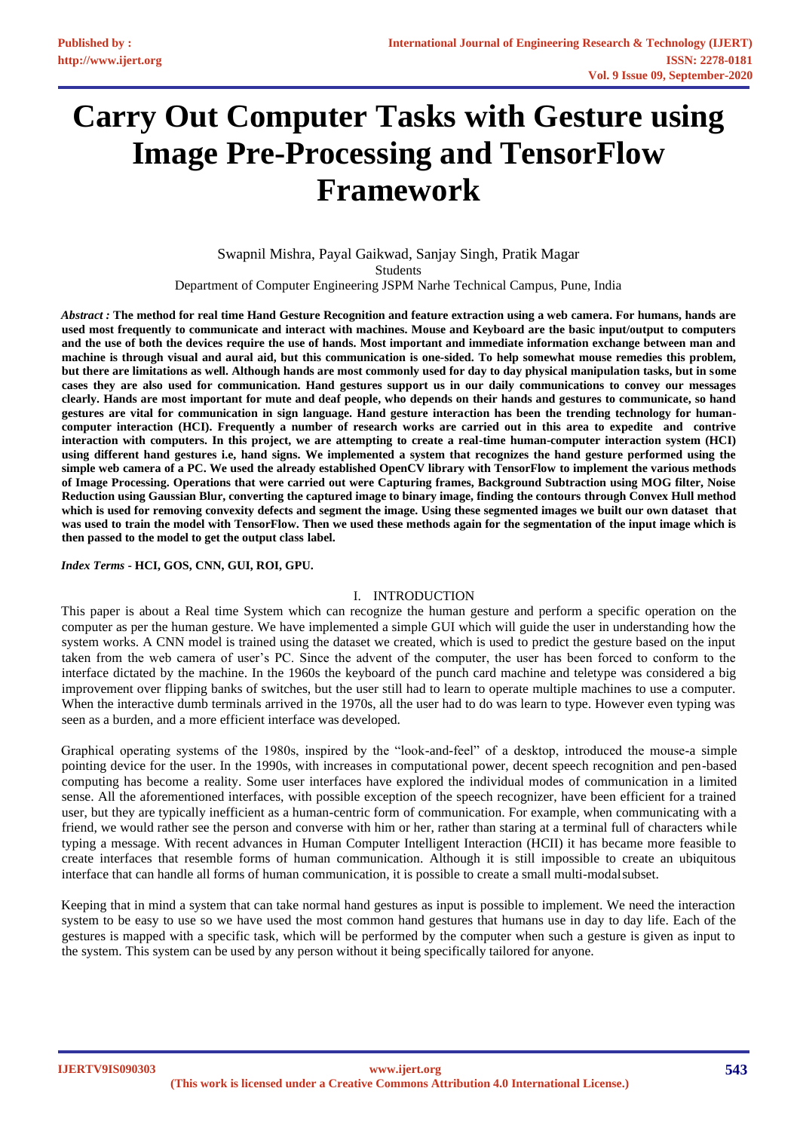# **Carry Out Computer Tasks with Gesture using Image Pre-Processing and TensorFlow Framework**

Swapnil Mishra, Payal Gaikwad, Sanjay Singh, Pratik Magar Students Department of Computer Engineering JSPM Narhe Technical Campus, Pune, India

*Abstract :* **The method for real time Hand Gesture Recognition and feature extraction using a web camera. For humans, hands are used most frequently to communicate and interact with machines. Mouse and Keyboard are the basic input/output to computers and the use of both the devices require the use of hands. Most important and immediate information exchange between man and machine is through visual and aural aid, but this communication is one-sided. To help somewhat mouse remedies this problem, but there are limitations as well. Although hands are most commonly used for day to day physical manipulation tasks, but in some cases they are also used for communication. Hand gestures support us in our daily communications to convey our messages clearly. Hands are most important for mute and deaf people, who depends on their hands and gestures to communicate, so hand gestures are vital for communication in sign language. Hand gesture interaction has been the trending technology for humancomputer interaction (HCI). Frequently a number of research works are carried out in this area to expedite and contrive interaction with computers. In this project, we are attempting to create a real-time human-computer interaction system (HCI) using different hand gestures i.e, hand signs. We implemented a system that recognizes the hand gesture performed using the simple web camera of a PC. We used the already established OpenCV library with TensorFlow to implement the various methods of Image Processing. Operations that were carried out were Capturing frames, Background Subtraction using MOG filter, Noise Reduction using Gaussian Blur, converting the captured image to binary image, finding the contours through Convex Hull method which is used for removing convexity defects and segment the image. Using these segmented images we built our own dataset that was used to train the model with TensorFlow. Then we used these methods again for the segmentation of the input image which is then passed to the model to get the output class label.**

*Index Terms* **- HCI, GOS, CNN, GUI, ROI, GPU.**

#### I. INTRODUCTION

This paper is about a Real time System which can recognize the human gesture and perform a specific operation on the computer as per the human gesture. We have implemented a simple GUI which will guide the user in understanding how the system works. A CNN model is trained using the dataset we created, which is used to predict the gesture based on the input taken from the web camera of user's PC. Since the advent of the computer, the user has been forced to conform to the interface dictated by the machine. In the 1960s the keyboard of the punch card machine and teletype was considered a big improvement over flipping banks of switches, but the user still had to learn to operate multiple machines to use a computer. When the interactive dumb terminals arrived in the 1970s, all the user had to do was learn to type. However even typing was seen as a burden, and a more efficient interface was developed.

Graphical operating systems of the 1980s, inspired by the "look-and-feel" of a desktop, introduced the mouse-a simple pointing device for the user. In the 1990s, with increases in computational power, decent speech recognition and pen-based computing has become a reality. Some user interfaces have explored the individual modes of communication in a limited sense. All the aforementioned interfaces, with possible exception of the speech recognizer, have been efficient for a trained user, but they are typically inefficient as a human-centric form of communication. For example, when communicating with a friend, we would rather see the person and converse with him or her, rather than staring at a terminal full of characters while typing a message. With recent advances in Human Computer Intelligent Interaction (HCII) it has became more feasible to create interfaces that resemble forms of human communication. Although it is still impossible to create an ubiquitous interface that can handle all forms of human communication, it is possible to create a small multi-modalsubset.

Keeping that in mind a system that can take normal hand gestures as input is possible to implement. We need the interaction system to be easy to use so we have used the most common hand gestures that humans use in day to day life. Each of the gestures is mapped with a specific task, which will be performed by the computer when such a gesture is given as input to the system. This system can be used by any person without it being specifically tailored for anyone.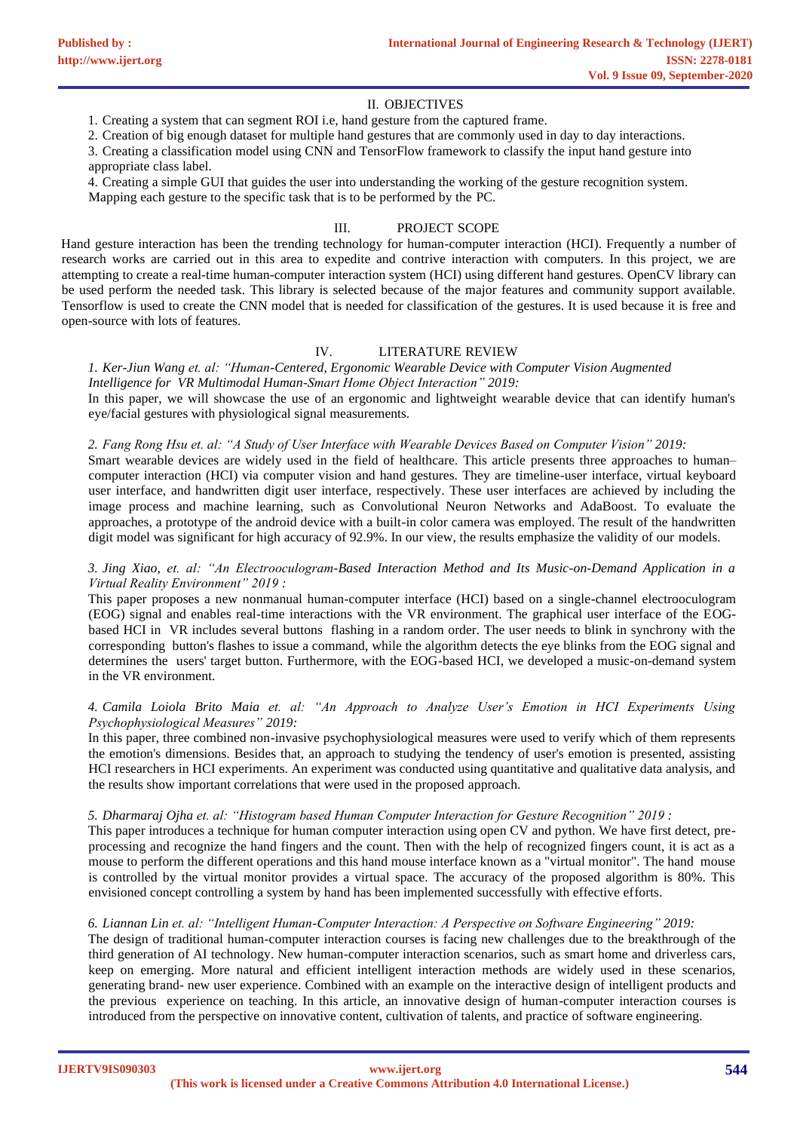## II. OBJECTIVES

1. Creating a system that can segment ROI i.e, hand gesture from the captured frame.

2. Creation of big enough dataset for multiple hand gestures that are commonly used in day to day interactions.

3. Creating a classification model using CNN and TensorFlow framework to classify the input hand gesture into

appropriate class label.

4. Creating a simple GUI that guides the user into understanding the working of the gesture recognition system. Mapping each gesture to the specific task that is to be performed by the PC.

# III. PROJECT SCOPE

Hand gesture interaction has been the trending technology for human-computer interaction (HCI). Frequently a number of research works are carried out in this area to expedite and contrive interaction with computers. In this project, we are attempting to create a real-time human-computer interaction system (HCI) using different hand gestures. OpenCV library can be used perform the needed task. This library is selected because of the major features and community support available. Tensorflow is used to create the CNN model that is needed for classification of the gestures. It is used because it is free and open-source with lots of features.

# IV. LITERATURE REVIEW

*1. [Ker-Jiun Wang](https://ieeexplore.ieee.org/author/37085623719) et. al: "Human-Centered, Ergonomic Wearable Device with Computer Vision Augmented Intelligence for VR Multimodal Human-Smart Home Object Interaction" 2019:*

In this paper, we will showcase the use of an ergonomic and lightweight wearable device that can identify human's eye/facial gestures with physiological signal measurements.

#### *2. Fang Rong Hsu et. al: "A Study of User Interface with Wearable Devices Based on Computer Vision" 2019:*

Smart wearable devices are widely used in the field of healthcare. This article presents three approaches to human– computer interaction (HCI) via computer vision and hand gestures. They are timeline-user interface, virtual keyboard user interface, and handwritten digit user interface, respectively. These user interfaces are achieved by including the image process and machine learning, such as Convolutional Neuron Networks and AdaBoost. To evaluate the approaches, a prototype of the android device with a built-in color camera was employed. The result of the handwritten digit model was significant for high accuracy of 92.9%. In our view, the results emphasize the validity of our models.

# *3. [Jing Xiao,](https://ieeexplore.ieee.org/author/37086412132) et. al: "An Electrooculogram-Based Interaction Method and Its Music-on-Demand Application in a Virtual Reality Environment" 2019 :*

This paper proposes a new nonmanual human-computer interface (HCI) based on a single-channel electrooculogram (EOG) signal and enables real-time interactions with the VR environment. The graphical user interface of the EOGbased HCI in VR includes several buttons flashing in a random order. The user needs to blink in synchrony with the corresponding button's flashes to issue a command, while the algorithm detects the eye blinks from the EOG signal and determines the users' target button. Furthermore, with the EOG-based HCI, we developed a music-on-demand system in the VR environment.

# *4. [Camila Loiola Brito Maia e](https://ieeexplore.ieee.org/author/37086807036)t. al: "An Approach to Analyze User's Emotion in HCI Experiments Using Psychophysiological Measures" 2019:*

In this paper, three combined non-invasive psychophysiological measures were used to verify which of them represents the emotion's dimensions. Besides that, an approach to studying the tendency of user's emotion is presented, assisting HCI researchers in HCI experiments. An experiment was conducted using quantitative and qualitative data analysis, and the results show important correlations that were used in the proposed approach.

### *5. [Dharmaraj Ojha e](https://ieeexplore.ieee.org/author/37086959505)t. al: "Histogram based Human Computer Interaction for Gesture Recognition" 2019 :*

This paper introduces a technique for human computer interaction using open CV and python. We have first detect, preprocessing and recognize the hand fingers and the count. Then with the help of recognized fingers count, it is act as a mouse to perform the different operations and this hand mouse interface known as a "virtual monitor". The hand mouse is controlled by the virtual monitor provides a virtual space. The accuracy of the proposed algorithm is 80%. This envisioned concept controlling a system by hand has been implemented successfully with effective efforts.

#### *6. [Liannan Lin e](https://ieeexplore.ieee.org/author/37085874945)t. al: "Intelligent Human-Computer Interaction: A Perspective on Software Engineering" 2019:*

The design of traditional human-computer interaction courses is facing new challenges due to the breakthrough of the third generation of AI technology. New human-computer interaction scenarios, such as smart home and driverless cars, keep on emerging. More natural and efficient intelligent interaction methods are widely used in these scenarios, generating brand- new user experience. Combined with an example on the interactive design of intelligent products and the previous experience on teaching. In this article, an innovative design of human-computer interaction courses is introduced from the perspective on innovative content, cultivation of talents, and practice of software engineering.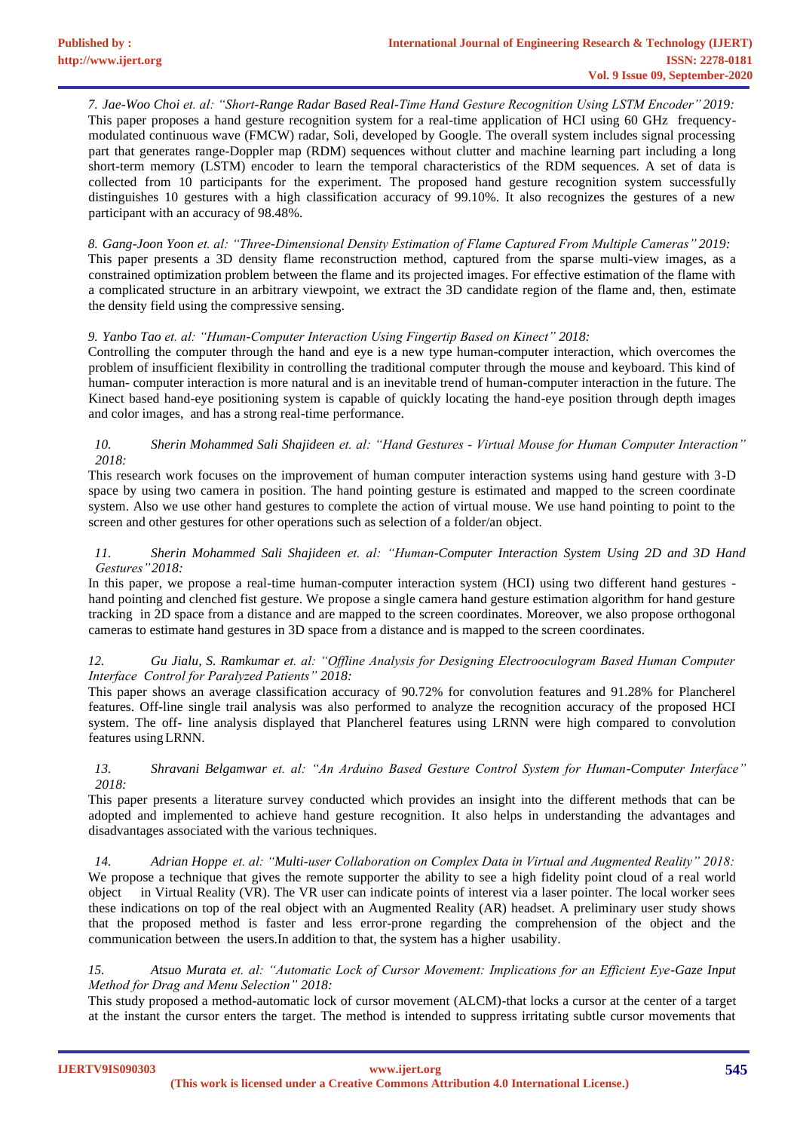*7. [Jae-Woo Choi e](https://ieeexplore.ieee.org/author/37086593499)t. al: "Short-Range Radar Based Real-Time Hand Gesture Recognition Using LSTM Encoder" 2019:* This paper proposes a hand gesture recognition system for a real-time application of HCI using 60 GHz frequencymodulated continuous wave (FMCW) radar, Soli, developed by Google. The overall system includes signal processing part that generates range-Doppler map (RDM) sequences without clutter and machine learning part including a long short-term memory (LSTM) encoder to learn the temporal characteristics of the RDM sequences. A set of data is collected from 10 participants for the experiment. The proposed hand gesture recognition system successfully distinguishes 10 gestures with a high classification accuracy of 99.10%. It also recognizes the gestures of a new participant with an accuracy of 98.48%.

*8. [Gang-Joon Yoon e](https://ieeexplore.ieee.org/author/37085713148)t. al: "Three-Dimensional Density Estimation of Flame Captured From Multiple Cameras" 2019:* This paper presents a 3D density flame reconstruction method, captured from the sparse multi-view images, as a constrained optimization problem between the flame and its projected images. For effective estimation of the flame with a complicated structure in an arbitrary viewpoint, we extract the 3D candidate region of the flame and, then, estimate the density field using the compressive sensing.

# *9. [Yanbo Tao e](https://ieeexplore.ieee.org/author/37086863089)t. al: "Human-Computer Interaction Using Fingertip Based on Kinect" 2018:*

Controlling the computer through the hand and eye is a new type human-computer interaction, which overcomes the problem of insufficient flexibility in controlling the traditional computer through the mouse and keyboard. This kind of human- computer interaction is more natural and is an inevitable trend of human-computer interaction in the future. The Kinect based hand-eye positioning system is capable of quickly locating the hand-eye position through depth images and color images, and has a strong real-time performance.

### *10. [Sherin Mohammed Sali Shajideen e](https://ieeexplore.ieee.org/author/37086874147)t. al: "Hand Gestures - Virtual Mouse for Human Computer Interaction" 2018:*

This research work focuses on the improvement of human computer interaction systems using hand gesture with 3-D space by using two camera in position. The hand pointing gesture is estimated and mapped to the screen coordinate system. Also we use other hand gestures to complete the action of virtual mouse. We use hand pointing to point to the screen and other gestures for other operations such as selection of a folder/an object.

## *11. [Sherin Mohammed Sali Shajideen e](https://ieeexplore.ieee.org/author/37086511325)t. al: "Human-Computer Interaction System Using 2D and 3D Hand Gestures"2018:*

In this paper, we propose a real-time human-computer interaction system (HCI) using two different hand gestures hand pointing and clenched fist gesture. We propose a single camera hand gesture estimation algorithm for hand gesture tracking in 2D space from a distance and are mapped to the screen coordinates. Moreover, we also propose orthogonal cameras to estimate hand gestures in 3D space from a distance and is mapped to the screen coordinates.

## *12. [Gu Jialu,](https://ieeexplore.ieee.org/author/37086568483) [S. Ramkumar](https://ieeexplore.ieee.org/author/37086400222) et. al: "Offline Analysis for Designing Electrooculogram Based Human Computer Interface Control for Paralyzed Patients" 2018:*

This paper shows an average classification accuracy of 90.72% for convolution features and 91.28% for Plancherel features. Off-line single trail analysis was also performed to analyze the recognition accuracy of the proposed HCI system. The off- line analysis displayed that Plancherel features using LRNN were high compared to convolution features usingLRNN.

# *13. [Shravani Belgamwar e](https://ieeexplore.ieee.org/author/37086819735)t. al: "An Arduino Based Gesture Control System for Human-Computer Interface" 2018:*

This paper presents a literature survey conducted which provides an insight into the different methods that can be adopted and implemented to achieve hand gesture recognition. It also helps in understanding the advantages and disadvantages associated with the various techniques.

*14. Adrian Hoppe et. al: "Multi-user Collaboration on Complex Data in Virtual and Augmented Reality" 2018:* We propose a technique that gives the remote supporter the ability to see a high fidelity point cloud of a real world object in Virtual Reality (VR). The VR user can indicate points of interest via a laser pointer. The local worker sees these indications on top of the real object with an Augmented Reality (AR) headset. A preliminary user study shows that the proposed method is faster and less error-prone regarding the comprehension of the object and the communication between the users.In addition to that, the system has a higher usability.

# *15. [Atsuo Murata e](https://ieeexplore.ieee.org/author/37086837843)t. al: "Automatic Lock of Cursor Movement: Implications for an Efficient Eye-Gaze Input Method for Drag and Menu Selection" 2018:*

This study proposed a method-automatic lock of cursor movement (ALCM)-that locks a cursor at the center of a target at the instant the cursor enters the target. The method is intended to suppress irritating subtle cursor movements that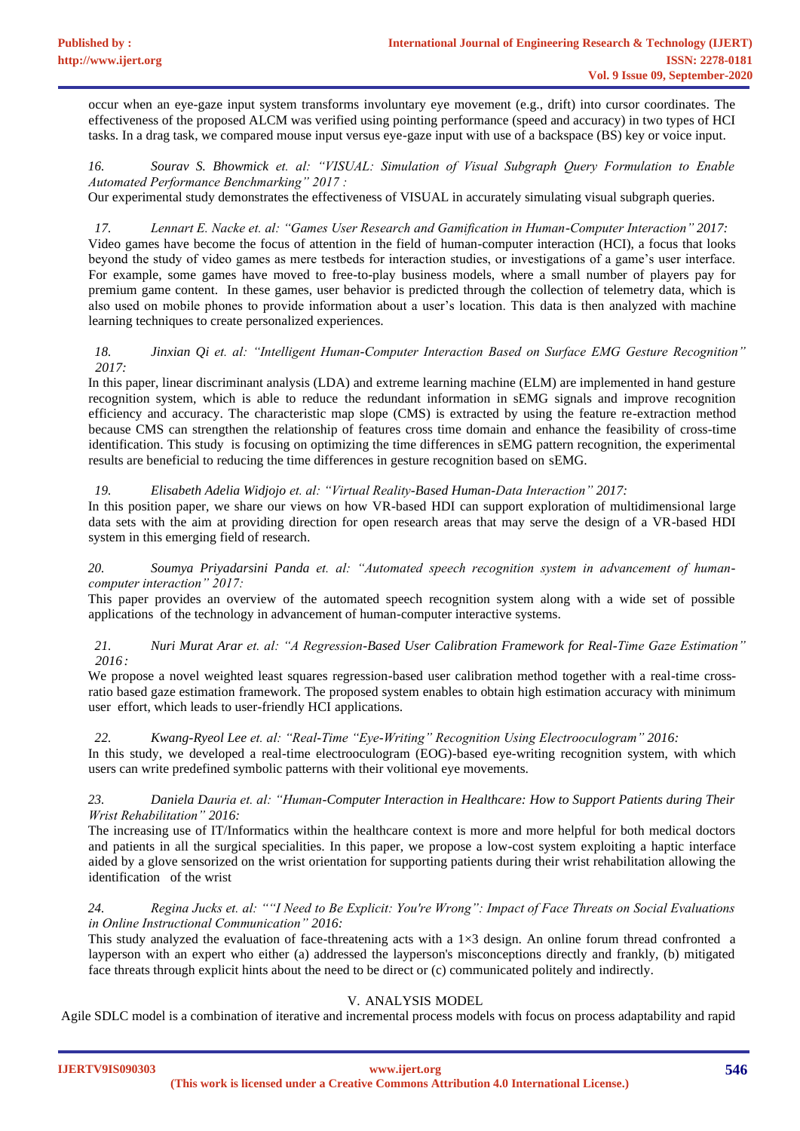occur when an eye-gaze input system transforms involuntary eye movement (e.g., drift) into cursor coordinates. The effectiveness of the proposed ALCM was verified using pointing performance (speed and accuracy) in two types of HCI tasks. In a drag task, we compared mouse input versus eye-gaze input with use of a backspace (BS) key or voice input.

*16. [Sourav S. Bhowmick](https://ieeexplore.ieee.org/author/37331624900) et. al: "VISUAL: Simulation of Visual Subgraph Query Formulation to Enable Automated Performance Benchmarking" 2017 :*

Our experimental study demonstrates the effectiveness of VISUAL in accurately simulating visual subgraph queries.

*17. Lennart E. Nacke et. al: "Games User Research and Gamification in Human-Computer Interaction" 2017:* Video games have become the focus of attention in the field of human-computer interaction (HCI), a focus that looks beyond the study of video games as mere testbeds for interaction studies, or investigations of a game's user interface. For example, some games have moved to free-to-play business models, where a small number of players pay for premium game content. In these games, user behavior is predicted through the collection of telemetry data, which is also used on mobile phones to provide information about a user's location. This data is then analyzed with machine learning techniques to create personalized experiences.

# *18. [Jinxian Qi e](https://ieeexplore.ieee.org/author/37086840602)t. al: "Intelligent Human-Computer Interaction Based on Surface EMG Gesture Recognition" 2017:*

In this paper, linear discriminant analysis (LDA) and extreme learning machine (ELM) are implemented in hand gesture recognition system, which is able to reduce the redundant information in sEMG signals and improve recognition efficiency and accuracy. The characteristic map slope (CMS) is extracted by using the feature re-extraction method because CMS can strengthen the relationship of features cross time domain and enhance the feasibility of cross-time identification. This study is focusing on optimizing the time differences in sEMG pattern recognition, the experimental results are beneficial to reducing the time differences in gesture recognition based on sEMG.

# *19. [Elisabeth Adelia Widjojo e](https://ieeexplore.ieee.org/author/37085615437)t. al: "Virtual Reality-Based Human-Data Interaction" 2017:*

In this position paper, we share our views on how VR-based HDI can support exploration of multidimensional large data sets with the aim at providing direction for open research areas that may serve the design of a VR-based HDI system in this emerging field of research.

# *20. [Soumya Priyadarsini Panda e](https://ieeexplore.ieee.org/author/37085508969)t. al: "Automated speech recognition system in advancement of humancomputer interaction" 2017:*

This paper provides an overview of the automated speech recognition system along with a wide set of possible applications of the technology in advancement of human-computer interactive systems.

# *21. [Nuri Murat Arar e](https://ieeexplore.ieee.org/author/38229930900)t. al: "A Regression-Based User Calibration Framework for Real-Time Gaze Estimation" 2016 :*

We propose a novel weighted least squares regression-based user calibration method together with a real-time crossratio based gaze estimation framework. The proposed system enables to obtain high estimation accuracy with minimum user effort, which leads to user-friendly HCI applications.

# *22. [Kwang-Ryeol Lee e](https://ieeexplore.ieee.org/author/37086146767)t. al: "Real-Time "Eye-Writing" Recognition Using Electrooculogram" 2016:*

In this study, we developed a real-time electrooculogram (EOG)-based eye-writing recognition system, with which users can write predefined symbolic patterns with their volitional eye movements.

# *23. Daniela Dauria et. al: "Human-Computer Interaction in Healthcare: How to Support Patients during Their Wrist Rehabilitation" 2016:*

The increasing use of IT/Informatics within the healthcare context is more and more helpful for both medical doctors and patients in all the surgical specialities. In this paper, we propose a low-cost system exploiting a haptic interface aided by a glove sensorized on the wrist orientation for supporting patients during their wrist rehabilitation allowing the identification of the wrist

# *24. Regina Jucks et. al: ""I Need to Be Explicit: You're Wrong": Impact of Face Threats on Social Evaluations in Online Instructional Communication" 2016:*

This study analyzed the evaluation of face-threatening acts with a  $1\times3$  design. An online forum thread confronted a layperson with an expert who either (a) addressed the layperson's misconceptions directly and frankly, (b) mitigated face threats through explicit hints about the need to be direct or (c) communicated politely and indirectly.

# V. ANALYSIS MODEL

Agile SDLC model is a combination of iterative and incremental process models with focus on process adaptability and rapid

**IJERTV9IS090303 (This work is licensed under a Creative Commons Attribution 4.0 International License.) <www.ijert.org>**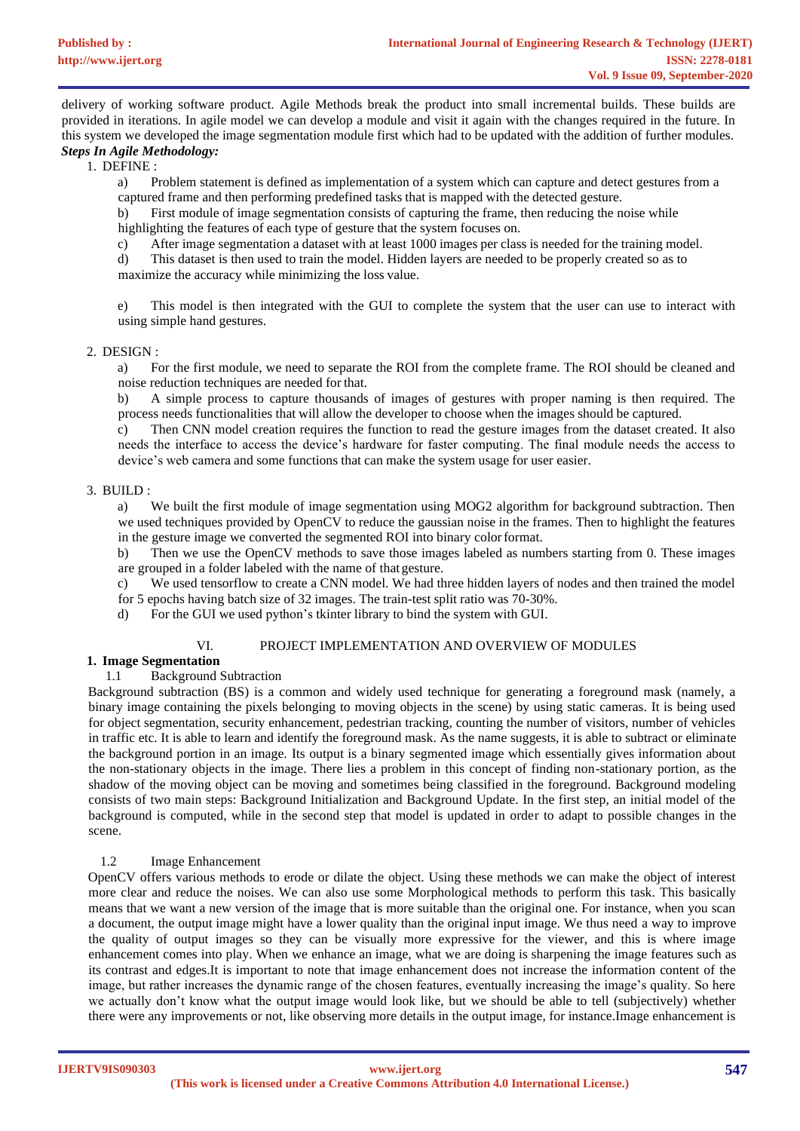delivery of working software product. Agile Methods break the product into small incremental builds. These builds are provided in iterations. In agile model we can develop a module and visit it again with the changes required in the future. In this system we developed the image segmentation module first which had to be updated with the addition of further modules. *Steps In Agile Methodology:*

1. DEFINE :

a) Problem statement is defined as implementation of a system which can capture and detect gestures from a captured frame and then performing predefined tasks that is mapped with the detected gesture.

b) First module of image segmentation consists of capturing the frame, then reducing the noise while highlighting the features of each type of gesture that the system focuses on.

c) After image segmentation a dataset with at least 1000 images per class is needed for the training model.

d) This dataset is then used to train the model. Hidden layers are needed to be properly created so as to maximize the accuracy while minimizing the loss value.

e) This model is then integrated with the GUI to complete the system that the user can use to interact with using simple hand gestures.

## 2. DESIGN :

a) For the first module, we need to separate the ROI from the complete frame. The ROI should be cleaned and noise reduction techniques are needed for that.

b) A simple process to capture thousands of images of gestures with proper naming is then required. The process needs functionalities that will allow the developer to choose when the images should be captured.

c) Then CNN model creation requires the function to read the gesture images from the dataset created. It also needs the interface to access the device's hardware for faster computing. The final module needs the access to device's web camera and some functions that can make the system usage for user easier.

# 3. BUILD :

a) We built the first module of image segmentation using MOG2 algorithm for background subtraction. Then we used techniques provided by OpenCV to reduce the gaussian noise in the frames. Then to highlight the features in the gesture image we converted the segmented ROI into binary colorformat.

b) Then we use the OpenCV methods to save those images labeled as numbers starting from 0. These images are grouped in a folder labeled with the name of that gesture.

c) We used tensorflow to create a CNN model. We had three hidden layers of nodes and then trained the model

for 5 epochs having batch size of 32 images. The train-test split ratio was 70-30%.

d) For the GUI we used python's tkinter library to bind the system with GUI.

#### VI. PROJECT IMPLEMENTATION AND OVERVIEW OF MODULES

# **1. Image Segmentation**

# 1.1 Background Subtraction

Background subtraction (BS) is a common and widely used technique for generating a foreground mask (namely, a binary image containing the pixels belonging to moving objects in the scene) by using static cameras. It is being used for object segmentation, security enhancement, pedestrian tracking, counting the number of visitors, number of vehicles in traffic etc. It is able to learn and identify the foreground mask. As the name suggests, it is able to subtract or eliminate the background portion in an image. Its output is a binary segmented image which essentially gives information about the non-stationary objects in the image. There lies a problem in this concept of finding non-stationary portion, as the shadow of the moving object can be moving and sometimes being classified in the foreground. Background modeling consists of two main steps: Background Initialization and Background Update. In the first step, an initial model of the background is computed, while in the second step that model is updated in order to adapt to possible changes in the scene.

# 1.2 Image Enhancement

OpenCV offers various methods to erode or dilate the object. Using these methods we can make the object of interest more clear and reduce the noises. We can also use some Morphological methods to perform this task. This basically means that we want a new version of the image that is more suitable than the original one. For instance, when you scan a document, the output image might have a lower quality than the original input image. We thus need a way to improve the quality of output images so they can be visually more expressive for the viewer, and this is where image enhancement comes into play. When we enhance an image, what we are doing is sharpening the image features such as its contrast and edges.It is important to note that image enhancement does not increase the information content of the image, but rather increases the dynamic range of the chosen features, eventually increasing the image's quality. So here we actually don't know what the output image would look like, but we should be able to tell (subjectively) whether there were any improvements or not, like observing more details in the output image, for instance.Image enhancement is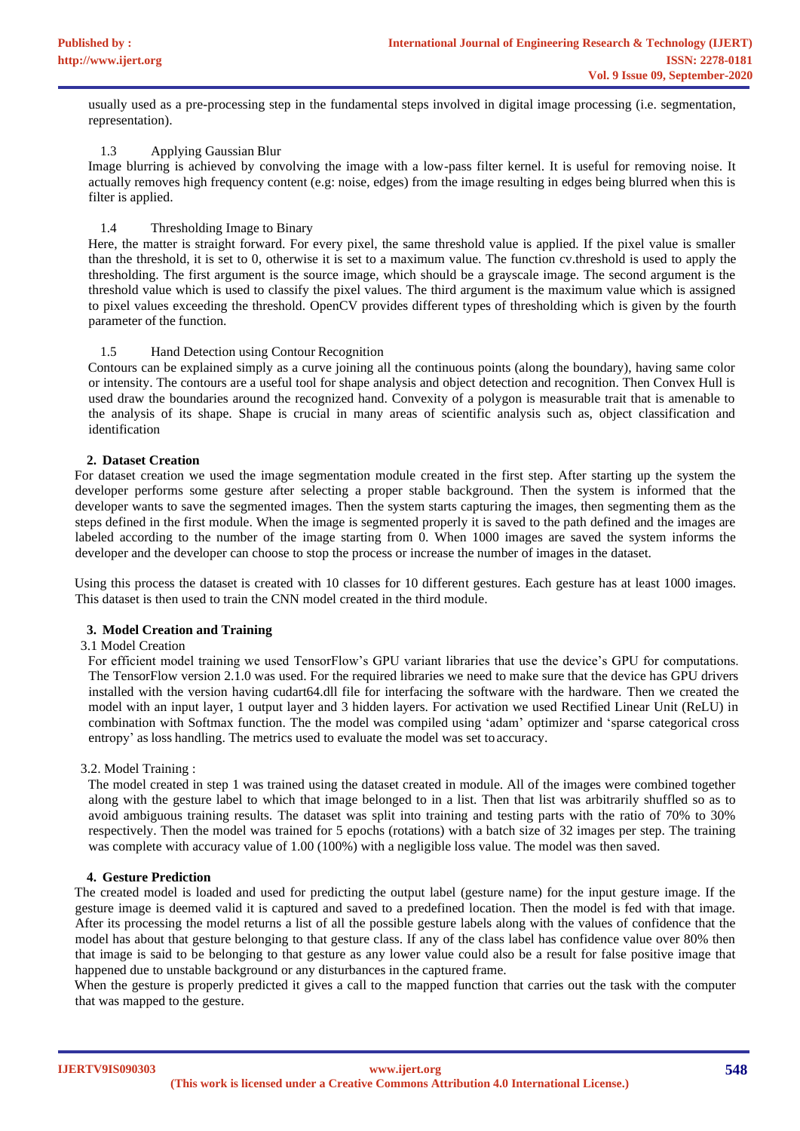usually used as a pre-processing step in the fundamental steps involved in digital image processing (i.e. segmentation, representation).

# 1.3 Applying Gaussian Blur

Image blurring is achieved by convolving the image with a low-pass filter kernel. It is useful for removing noise. It actually removes high frequency content (e.g: noise, edges) from the image resulting in edges being blurred when this is filter is applied.

# 1.4 Thresholding Image to Binary

Here, the matter is straight forward. For every pixel, the same threshold value is applied. If the pixel value is smaller than the threshold, it is set to 0, otherwise it is set to a maximum value. The function cv.threshold is used to apply the thresholding. The first argument is the source image, which should be a grayscale image. The second argument is the threshold value which is used to classify the pixel values. The third argument is the maximum value which is assigned to pixel values exceeding the threshold. OpenCV provides different types of thresholding which is given by the fourth parameter of the function.

# 1.5 Hand Detection using Contour Recognition

Contours can be explained simply as a curve joining all the continuous points (along the boundary), having same color or intensity. The contours are a useful tool for shape analysis and object detection and recognition. Then Convex Hull is used draw the boundaries around the recognized hand. Convexity of a polygon is measurable trait that is amenable to the analysis of its shape. Shape is crucial in many areas of scientific analysis such as, object classification and identification

# **2. Dataset Creation**

For dataset creation we used the image segmentation module created in the first step. After starting up the system the developer performs some gesture after selecting a proper stable background. Then the system is informed that the developer wants to save the segmented images. Then the system starts capturing the images, then segmenting them as the steps defined in the first module. When the image is segmented properly it is saved to the path defined and the images are labeled according to the number of the image starting from 0. When 1000 images are saved the system informs the developer and the developer can choose to stop the process or increase the number of images in the dataset.

Using this process the dataset is created with 10 classes for 10 different gestures. Each gesture has at least 1000 images. This dataset is then used to train the CNN model created in the third module.

# **3. Model Creation and Training**

# 3.1 Model Creation

For efficient model training we used TensorFlow's GPU variant libraries that use the device's GPU for computations. The TensorFlow version 2.1.0 was used. For the required libraries we need to make sure that the device has GPU drivers installed with the version having cudart64.dll file for interfacing the software with the hardware. Then we created the model with an input layer, 1 output layer and 3 hidden layers. For activation we used Rectified Linear Unit (ReLU) in combination with Softmax function. The the model was compiled using 'adam' optimizer and 'sparse categorical cross entropy' as loss handling. The metrics used to evaluate the model was set to accuracy.

# 3.2. Model Training :

The model created in step 1 was trained using the dataset created in module. All of the images were combined together along with the gesture label to which that image belonged to in a list. Then that list was arbitrarily shuffled so as to avoid ambiguous training results. The dataset was split into training and testing parts with the ratio of 70% to 30% respectively. Then the model was trained for 5 epochs (rotations) with a batch size of 32 images per step. The training was complete with accuracy value of 1.00 (100%) with a negligible loss value. The model was then saved.

# **4. Gesture Prediction**

The created model is loaded and used for predicting the output label (gesture name) for the input gesture image. If the gesture image is deemed valid it is captured and saved to a predefined location. Then the model is fed with that image. After its processing the model returns a list of all the possible gesture labels along with the values of confidence that the model has about that gesture belonging to that gesture class. If any of the class label has confidence value over 80% then that image is said to be belonging to that gesture as any lower value could also be a result for false positive image that happened due to unstable background or any disturbances in the captured frame.

When the gesture is properly predicted it gives a call to the mapped function that carries out the task with the computer that was mapped to the gesture.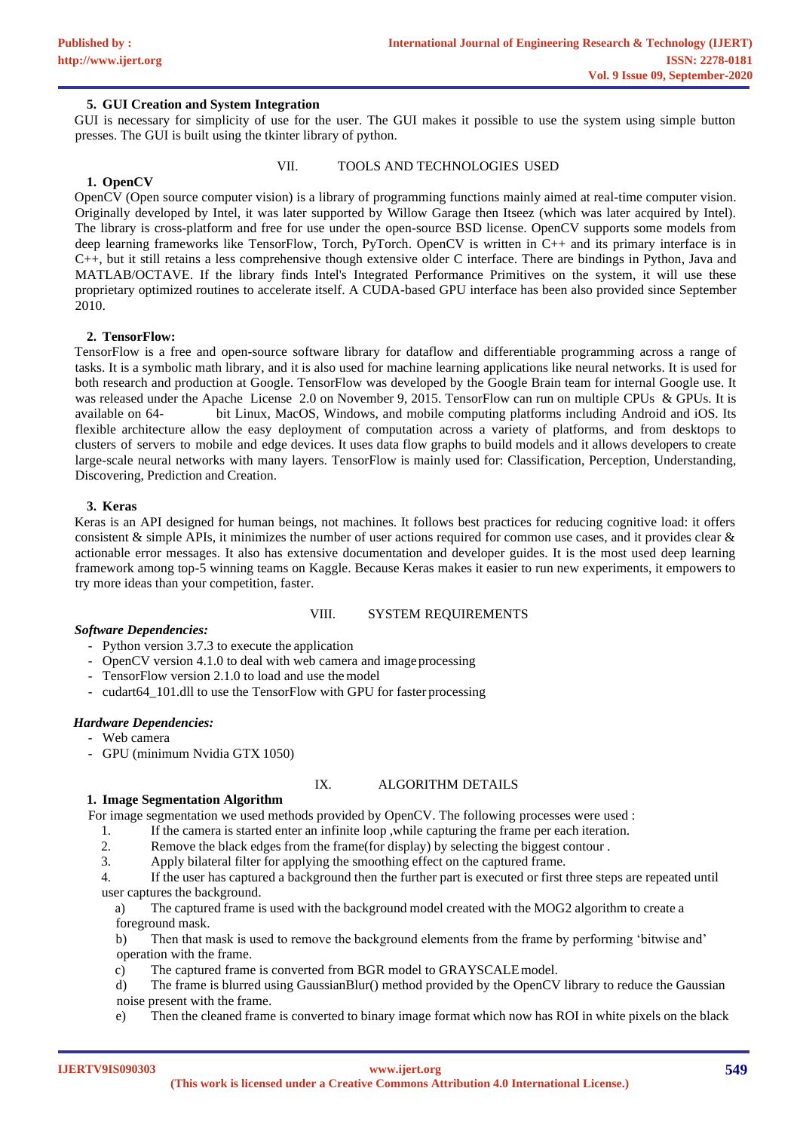# **5. GUI Creation and System Integration**

GUI is necessary for simplicity of use for the user. The GUI makes it possible to use the system using simple button presses. The GUI is built using the tkinter library of python.

# **1. OpenCV**

## VII. TOOLS AND TECHNOLOGIES USED

OpenCV (Open source computer vision) is a [library of programming functions m](https://en.wikipedia.org/wiki/Library_(computing))ainly aimed at real-time [computer vision.](https://en.wikipedia.org/wiki/Computer_vision) Originally developed by [Intel,](https://en.wikipedia.org/wiki/Intel_Corporation) it was later supported by [Willow Garage](https://en.wikipedia.org/wiki/Willow_Garage) then Itseez (which was later acquired by Intel). The library is [cross-platform](https://en.wikipedia.org/wiki/Cross-platform) and free for use under the [open-source](https://en.wikipedia.org/wiki/Open-source_software) [BSD license.](https://en.wikipedia.org/wiki/BSD_license) OpenCV supports some models from [deep](https://en.wikipedia.org/wiki/Deep_learning) learning frameworks like [TensorFlow,](https://en.wikipedia.org/wiki/TensorFlow) [Torch,](https://en.wikipedia.org/wiki/Torch_(machine_learning)) [PyTorch.](https://en.wikipedia.org/wiki/PyTorch) OpenCV is written in [C++](https://en.wikipedia.org/wiki/C%2B%2B) and its primary interface is in C++, but it still retains a less comprehensive though extensive older [C interface.](https://en.wikipedia.org/wiki/C_(programming_language)) There are bindings in [Python,](https://en.wikipedia.org/wiki/Python_(programming_language)) [Java](https://en.wikipedia.org/wiki/Java_(programming_language)) and [MATLAB/](https://en.wikipedia.org/wiki/MATLAB)[OCTAVE.](https://en.wikipedia.org/wiki/GNU_Octave) If the library finds Intel's [Integrated Performance Primitives](https://en.wikipedia.org/wiki/Integrated_Performance_Primitives) on the system, it will use these proprietary optimized routines to accelerate itself. A [CUDA-](https://en.wikipedia.org/wiki/CUDA)based [GPU](https://en.wikipedia.org/wiki/Graphics_processing_unit) interface has been also provided since September 2010.

## **2. TensorFlow:**

TensorFlow is a [free a](https://en.wikipedia.org/wiki/Free_software)nd [open-source](https://en.wikipedia.org/wiki/Open-source_software) [software library f](https://en.wikipedia.org/wiki/Library_(computing))or [dataflow a](https://en.wikipedia.org/wiki/Dataflow_programming)nd [differentiable p](https://en.wikipedia.org/wiki/Differentiable_programming)rogramming across a range of tasks. It is a symbolic math library, and it is also used for [machine learning a](https://en.wikipedia.org/wiki/Machine_learning)pplications like [neural networks.](https://en.wikipedia.org/wiki/Neural_networks) It is used for both research and production at [Google.](https://en.wikipedia.org/wiki/Google) TensorFlow was developed by the [Google Brain t](https://en.wikipedia.org/wiki/Google_Brain)eam for internal [Google u](https://en.wikipedia.org/wiki/Google)se. It was released under the [Apache License 2.0](https://en.wikipedia.org/wiki/Apache_License_2.0) on November 9, 2015. TensorFlow can run on multiple [CPUs](https://en.wikipedia.org/wiki/Central_processing_unit) & [GPUs.](https://en.wikipedia.org/wiki/GPU) It is available on 64- bit [Linux,](https://en.wikipedia.org/wiki/Linux) [MacOS,](https://en.wikipedia.org/wiki/MacOS) [Windows,](https://en.wikipedia.org/wiki/Windows) and mobile computing platforms including [Android a](https://en.wikipedia.org/wiki/Android_(operating_system))nd [iOS.](https://en.wikipedia.org/wiki/IOS) Its flexible architecture allow the easy deployment of computation across a variety of platforms, and from desktops to clusters of servers to mobile and edge devices. It uses data flow graphs to build models and it allows developers to create large-scale neural networks with many layers. TensorFlow is mainly used for: Classification, Perception, Understanding, Discovering, Prediction and Creation.

## **3. Keras**

Keras is an API designed for human beings, not machines. It follows best practices for reducing cognitive load: it offers consistent & simple APIs, it minimizes the number of user actions required for common use cases, and it provides clear  $\&$ actionable error messages. It also has extensive documentation and developer guides. It is the most used deep learning framework among top-5 winning teams on Kaggle. Because Keras makes it easier to run new experiments, it empowers to try more ideas than your competition, faster.

### VIII. SYSTEM REQUIREMENTS

## *Software Dependencies:*

- Python version 3.7.3 to execute the application
- OpenCV version 4.1.0 to deal with web camera and image processing
- TensorFlow version 2.1.0 to load and use the model
- cudart64\_101.dll to use the TensorFlow with GPU for faster processing

#### *Hardware Dependencies:*

- Web camera
- GPU (minimum Nvidia GTX 1050)

# IX. ALGORITHM DETAILS

#### **1. Image Segmentation Algorithm**

For image segmentation we used methods provided by OpenCV. The following processes were used :

- 1. If the camera is started enter an infinite loop, while capturing the frame per each iteration.<br>2. Remove the black edges from the frame(for display) by selecting the biggest contour.
- Remove the black edges from the frame(for display) by selecting the biggest contour.
- 3. Apply bilateral filter for applying the smoothing effect on the captured frame.

4. If the user has captured a background then the further part is executed or first three steps are repeated until user captures the background.

a) The captured frame is used with the background model created with the MOG2 algorithm to create a foreground mask.

b) Then that mask is used to remove the background elements from the frame by performing 'bitwise and' operation with the frame.

c) The captured frame is converted from BGR model to GRAYSCALEmodel.

d) The frame is blurred using GaussianBlur() method provided by the OpenCV library to reduce the Gaussian noise present with the frame.

e) Then the cleaned frame is converted to binary image format which now has ROI in white pixels on the black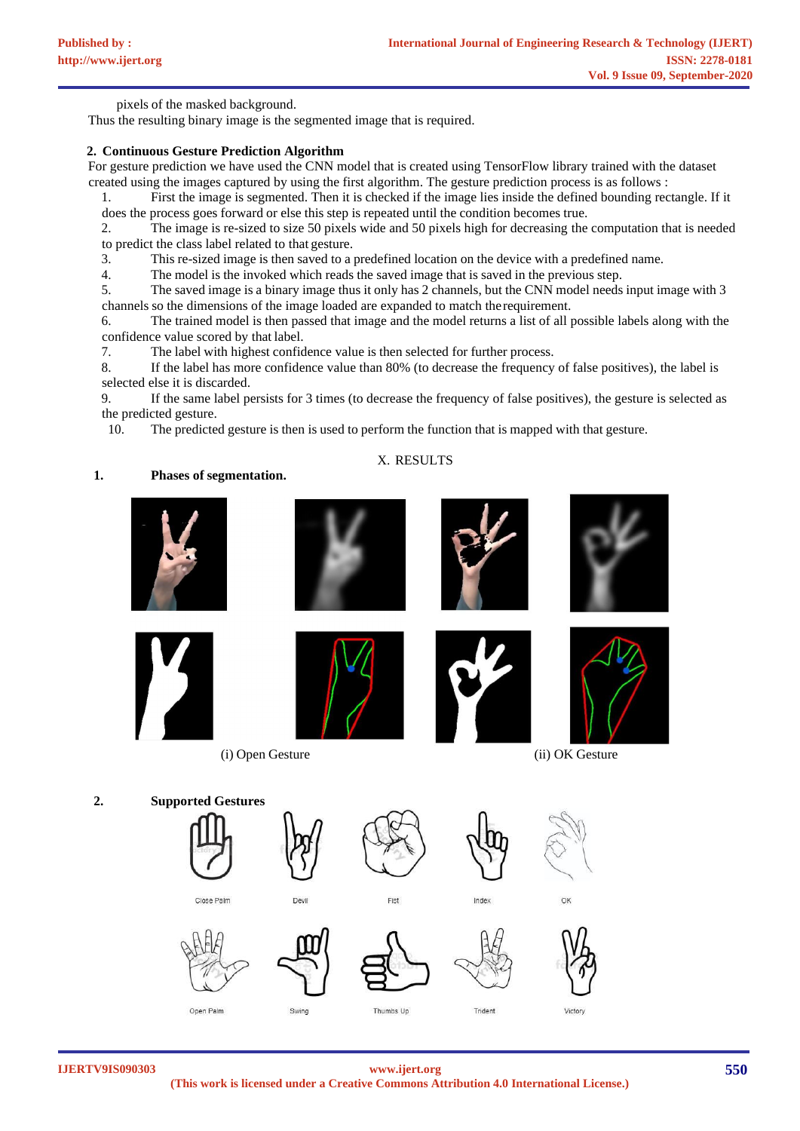pixels of the masked background.

Thus the resulting binary image is the segmented image that is required.

# **2. Continuous Gesture Prediction Algorithm**

For gesture prediction we have used the CNN model that is created using TensorFlow library trained with the dataset created using the images captured by using the first algorithm. The gesture prediction process is as follows :

1. First the image is segmented. Then it is checked if the image lies inside the defined bounding rectangle. If it does the process goes forward or else this step is repeated until the condition becomes true.

2. The image is re-sized to size 50 pixels wide and 50 pixels high for decreasing the computation that is needed to predict the class label related to that gesture.

3. This re-sized image is then saved to a predefined location on the device with a predefined name.

4. The model is the invoked which reads the saved image that is saved in the previous step.

5. The saved image is a binary image thus it only has 2 channels, but the CNN model needs input image with 3 channels so the dimensions of the image loaded are expanded to match therequirement.

6. The trained model is then passed that image and the model returns a list of all possible labels along with the confidence value scored by that label.<br>7. The label with highest confidence

7. The label with highest confidence value is then selected for further process.<br>8. If the label has more confidence value than 80% (to decrease the frequency

8. If the label has more confidence value than 80% (to decrease the frequency of false positives), the label is selected else it is discarded.

9. If the same label persists for 3 times (to decrease the frequency of false positives), the gesture is selected as the predicted gesture.

10. The predicted gesture is then is used to perform the function that is mapped with that gesture.

# X. RESULTS

# **1. Phases of segmentation.**



**IJERTV9IS090303**

**(This work is licensed under a Creative Commons Attribution 4.0 International License.) <www.ijert.org>**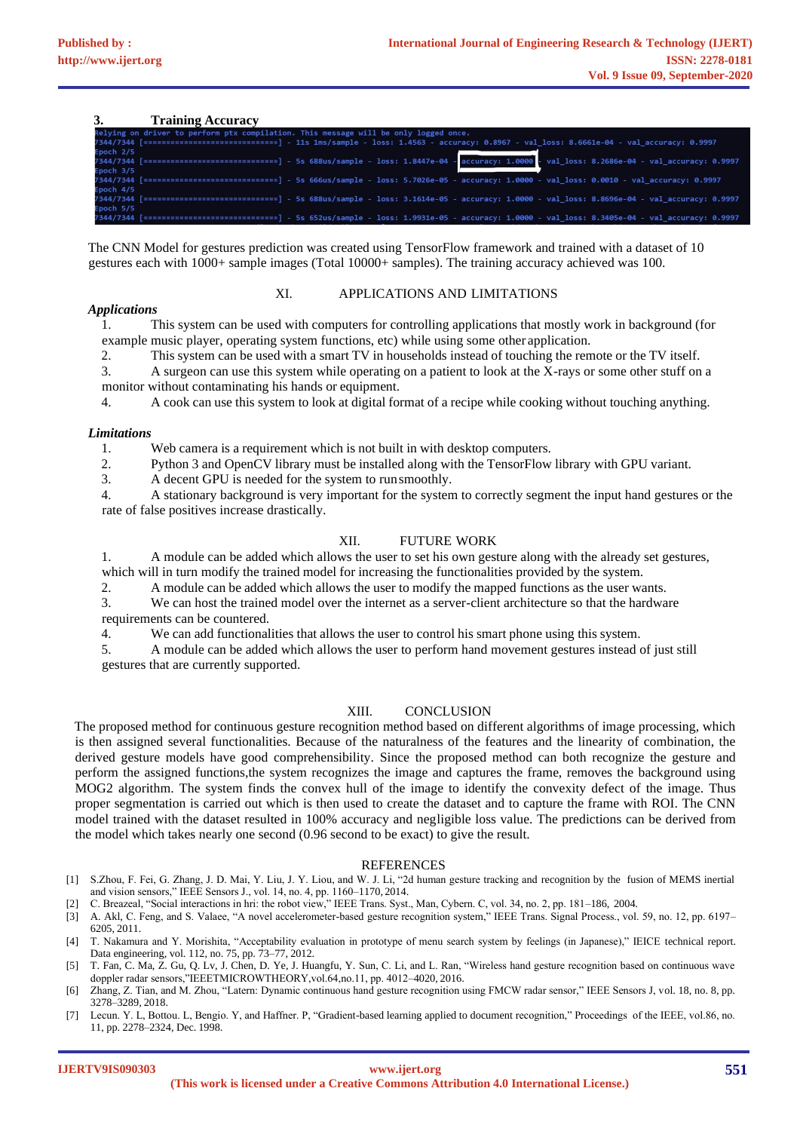**3. Training Accuracy**

|           | <b>Training Accuracy</b>                                                                                                                        |
|-----------|-------------------------------------------------------------------------------------------------------------------------------------------------|
|           | Relying on driver to perform ptx compilation. This message will be only logged once.                                                            |
|           | 7344/7344 [=============================] - 11s 1ms/sample - loss: 1.4563 - accuracy: 0.8967 - val loss: 8.6661e-04 - val accuracy: 0.9997      |
| Epoch 2/5 |                                                                                                                                                 |
|           | 7344/7344 [=============================] - 5s 688us/sample - loss: 1.8447e-04 - accuracy: 1.0000 - val_loss: 8.2686e-04 - val_accuracy: 0.9997 |
| Epoch 3/5 |                                                                                                                                                 |
|           | 7344/7344 [============================] - 5s 666us/sample - loss: 5.7026e-05 - accuracy: 1.0000 - val loss: 0.0010 - val accuracy: 0.9997      |
| Epoch 4/5 |                                                                                                                                                 |
|           | 7344/7344 [=============================] - 5s 688us/sample - loss: 3.1614e-05 - accuracy: 1.0000 - val loss: 8.8696e-04 - val accuracy: 0.9997 |
| Epoch 5/5 |                                                                                                                                                 |
|           | 7344/7344 [============================] - 5s 652us/sample - loss: 1.9931e-05 - accuracy: 1.0000 - val loss: 8.3405e-04 - val accuracy: 0.9997  |
|           |                                                                                                                                                 |

The CNN Model for gestures prediction was created using TensorFlow framework and trained with a dataset of 10 gestures each with 1000+ sample images (Total 10000+ samples). The training accuracy achieved was 100.

## XI. APPLICATIONS AND LIMITATIONS

## *Applications*

1. This system can be used with computers for controlling applications that mostly work in background (for example music player, operating system functions, etc) while using some other application.

2. This system can be used with a smart TV in households instead of touching the remote or the TV itself.

3. A surgeon can use this system while operating on a patient to look at the X-rays or some other stuff on a monitor without contaminating his hands or equipment.

4. A cook can use this system to look at digital format of a recipe while cooking without touching anything.

## *Limitations*

1. Web camera is a requirement which is not built in with desktop computers.<br>2. Python 3 and OpenCV library must be installed along with the TensorFlow

2. Python 3 and OpenCV library must be installed along with the TensorFlow library with GPU variant.<br>3. A decent GPU is needed for the system to run smoothly.

A decent GPU is needed for the system to runsmoothly.

4. A stationary background is very important for the system to correctly segment the input hand gestures or the rate of false positives increase drastically.

# XII. FUTURE WORK

1. A module can be added which allows the user to set his own gesture along with the already set gestures, which will in turn modify the trained model for increasing the functionalities provided by the system.

2. A module can be added which allows the user to modify the mapped functions as the user wants.

3. We can host the trained model over the internet as a server-client architecture so that the hardware requirements can be countered.

4. We can add functionalities that allows the user to control his smart phone using this system.

5. A module can be added which allows the user to perform hand movement gestures instead of just still gestures that are currently supported.

# XIII. CONCLUSION

The proposed method for continuous gesture recognition method based on different algorithms of image processing, which is then assigned several functionalities. Because of the naturalness of the features and the linearity of combination, the derived gesture models have good comprehensibility. Since the proposed method can both recognize the gesture and perform the assigned functions,the system recognizes the image and captures the frame, removes the background using MOG2 algorithm. The system finds the convex hull of the image to identify the convexity defect of the image. Thus proper segmentation is carried out which is then used to create the dataset and to capture the frame with ROI. The CNN model trained with the dataset resulted in 100% accuracy and negligible loss value. The predictions can be derived from the model which takes nearly one second (0.96 second to be exact) to give the result.

#### REFERENCES

[1] S.Zhou, F. Fei, G. Zhang, J. D. Mai, Y. Liu, J. Y. Liou, and W. J. Li, "2d human gesture tracking and recognition by the fusion of MEMS inertial and vision sensors," IEEE Sensors J., vol. 14, no. 4, pp. 1160–1170, 2014.

[2] C. Breazeal, "Social interactions in hri: the robot view," IEEE Trans. Syst., Man, Cybern. C, vol. 34, no. 2, pp. 181–186, 2004.

[3] A. Akl, C. Feng, and S. Valaee, "A novel accelerometer-based gesture recognition system," IEEE Trans. Signal Process., vol. 59, no. 12, pp. 6197– 6205, 2011.

[4] T. Nakamura and Y. Morishita, "Acceptability evaluation in prototype of menu search system by feelings (in Japanese)," IEICE technical report. Data engineering, vol. 112, no. 75, pp. 73–77, 2012.

[5] T. Fan, C. Ma, Z. Gu, Q. Lv, J. Chen, D. Ye, J. Huangfu, Y. Sun, C. Li, and L. Ran, "Wireless hand gesture recognition based on continuous wave doppler radar sensors,"IEEETMICROWTHEORY,vol.64,no.11, pp. 4012–4020, 2016.

[6] Zhang, Z. Tian, and M. Zhou, "Latern: Dynamic continuous hand gesture recognition using FMCW radar sensor," IEEE Sensors J, vol. 18, no. 8, pp. 3278–3289, 2018.

[7] Lecun. Y. L, Bottou. L, Bengio. Y, and Haffner. P, "Gradient-based learning applied to document recognition," Proceedings of the IEEE, vol.86, no. 11, pp. 2278–2324, Dec. 1998.